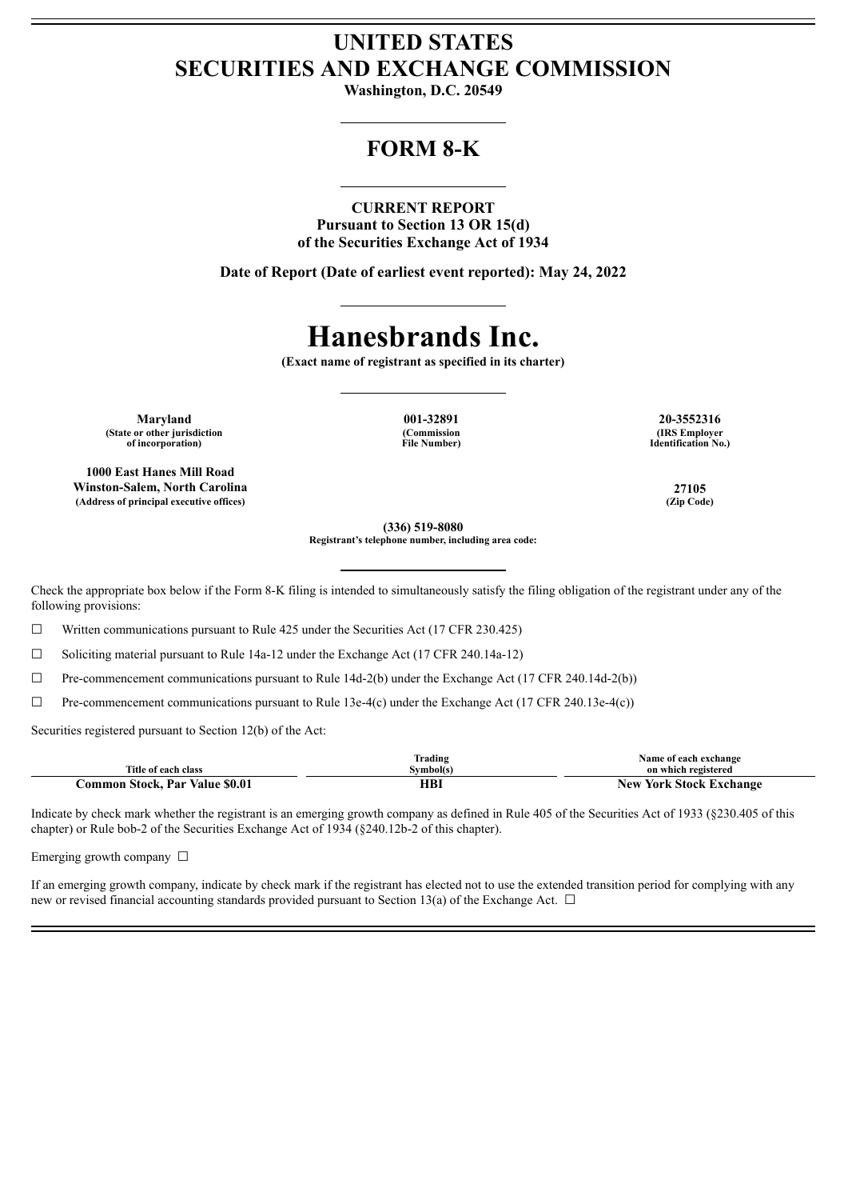## **UNITED STATES SECURITIES AND EXCHANGE COMMISSION**

**Washington, D.C. 20549**

## **FORM 8-K**

### **CURRENT REPORT**

**Pursuant to Section 13 OR 15(d) of the Securities Exchange Act of 1934**

**Date of Report (Date of earliest event reported): May 24, 2022**

# **Hanesbrands Inc.**

**(Exact name of registrant as specified in its charter)**

**Maryland 001-32891 20-3552316 (State or other jurisdiction of incorporation)**

**1000 East Hanes Mill Road Winston-Salem, North Carolina 27105 (Address of principal executive offices) (Zip Code)**

**(Commission File Number)**

**(IRS Employer Identification No.)**

**(336) 519-8080**

**Registrant's telephone number, including area code:**

Check the appropriate box below if the Form 8-K filing is intended to simultaneously satisfy the filing obligation of the registrant under any of the following provisions:

☐ Written communications pursuant to Rule 425 under the Securities Act (17 CFR 230.425)

☐ Soliciting material pursuant to Rule 14a-12 under the Exchange Act (17 CFR 240.14a-12)

 $\Box$  Pre-commencement communications pursuant to Rule 14d-2(b) under the Exchange Act (17 CFR 240.14d-2(b))

 $\Box$  Pre-commencement communications pursuant to Rule 13e-4(c) under the Exchange Act (17 CFR 240.13e-4(c))

Securities registered pursuant to Section 12(b) of the Act:

|                                      | Frading    | Name of each exchange            |
|--------------------------------------|------------|----------------------------------|
| Title of each class                  | ≅vmbol(s)  | on which registered              |
| Par Value \$0.01<br>Stock.<br>.ommon | ттэт<br>пы | York Stock Exchange<br>$N$ e $V$ |

Indicate by check mark whether the registrant is an emerging growth company as defined in Rule 405 of the Securities Act of 1933 (§230.405 of this chapter) or Rule bob-2 of the Securities Exchange Act of 1934 (§240.12b-2 of this chapter).

Emerging growth company  $\Box$ 

If an emerging growth company, indicate by check mark if the registrant has elected not to use the extended transition period for complying with any new or revised financial accounting standards provided pursuant to Section 13(a) of the Exchange Act.  $\Box$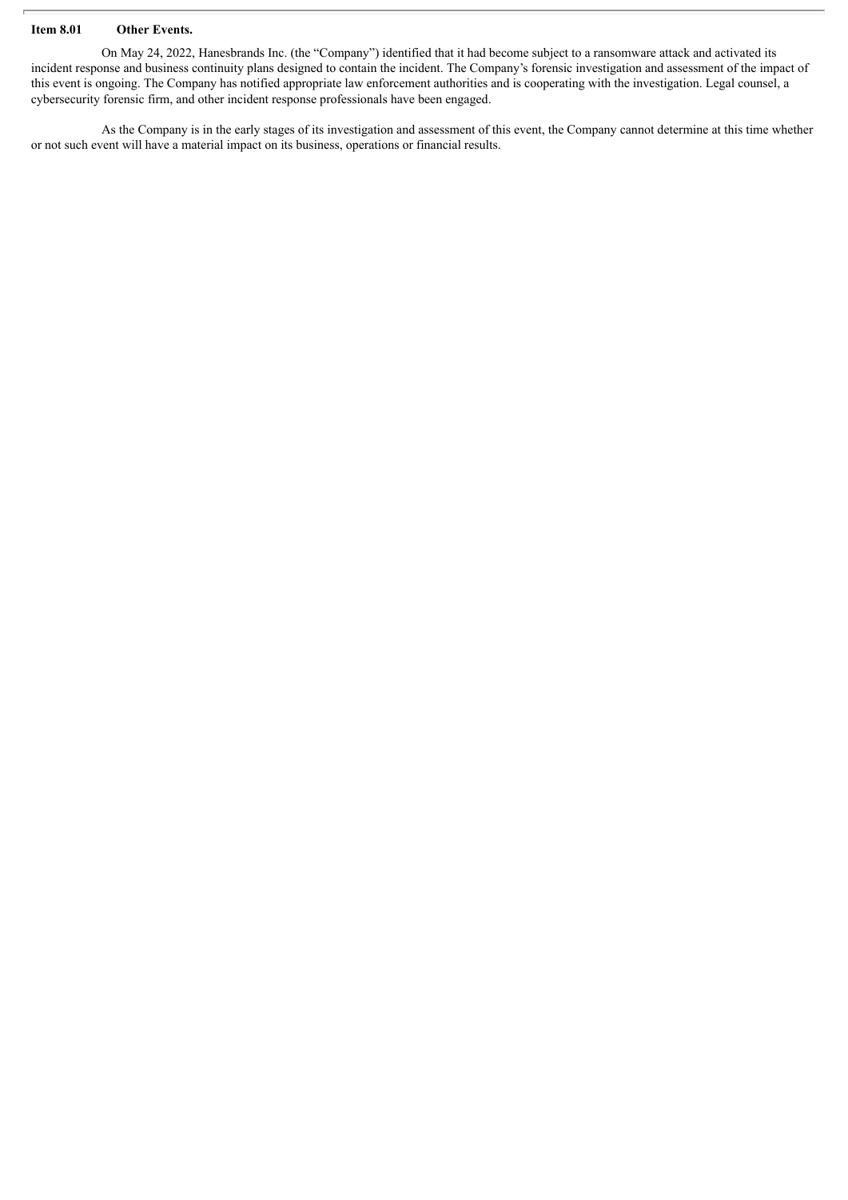#### **Item 8.01 Other Events.**

On May 24, 2022, Hanesbrands Inc. (the "Company") identified that it had become subject to a ransomware attack and activated its incident response and business continuity plans designed to contain the incident. The Company's forensic investigation and assessment of the impact of this event is ongoing. The Company has notified appropriate law enforcement authorities and is cooperating with the investigation. Legal counsel, a cybersecurity forensic firm, and other incident response professionals have been engaged.

As the Company is in the early stages of its investigation and assessment of this event, the Company cannot determine at this time whether or not such event will have a material impact on its business, operations or financial results.